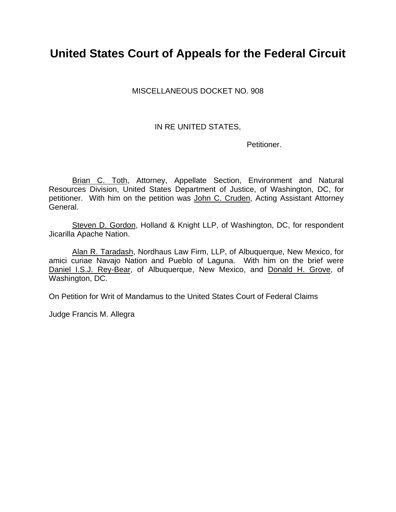# **United States Court of Appeals for the Federal Circuit**

MISCELLANEOUS DOCKET NO. 908

### IN RE UNITED STATES,

Petitioner.

Brian C. Toth, Attorney, Appellate Section, Environment and Natural Resources Division, United States Department of Justice, of Washington, DC, for petitioner. With him on the petition was John C. Cruden, Acting Assistant Attorney General.

Steven D. Gordon, Holland & Knight LLP, of Washington, DC, for respondent Jicarilla Apache Nation.

Alan R. Taradash, Nordhaus Law Firm, LLP, of Albuquerque, New Mexico, for amici curiae Navajo Nation and Pueblo of Laguna. With him on the brief were Daniel I.S.J. Rey-Bear, of Albuquerque, New Mexico, and Donald H. Grove, of Washington, DC.

On Petition for Writ of Mandamus to the United States Court of Federal Claims

Judge Francis M. Allegra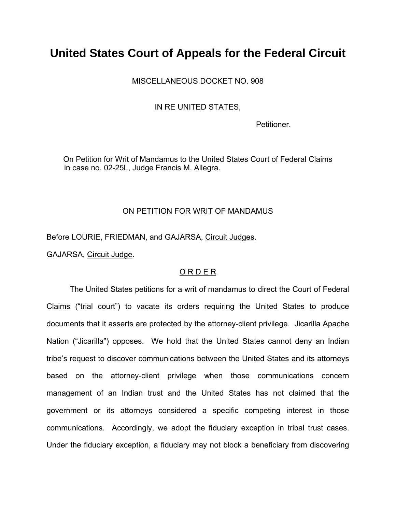# **United States Court of Appeals for the Federal Circuit**

MISCELLANEOUS DOCKET NO. 908

IN RE UNITED STATES,

Petitioner.

On Petition for Writ of Mandamus to the United States Court of Federal Claims in case no. 02-25L, Judge Francis M. Allegra.

#### ON PETITION FOR WRIT OF MANDAMUS

Before LOURIE, FRIEDMAN, and GAJARSA, Circuit Judges.

GAJARSA, Circuit Judge.

### O R D E R

 The United States petitions for a writ of mandamus to direct the Court of Federal Claims ("trial court") to vacate its orders requiring the United States to produce documents that it asserts are protected by the attorney-client privilege. Jicarilla Apache Nation ("Jicarilla") opposes. We hold that the United States cannot deny an Indian tribe's request to discover communications between the United States and its attorneys based on the attorney-client privilege when those communications concern management of an Indian trust and the United States has not claimed that the government or its attorneys considered a specific competing interest in those communications. Accordingly, we adopt the fiduciary exception in tribal trust cases. Under the fiduciary exception, a fiduciary may not block a beneficiary from discovering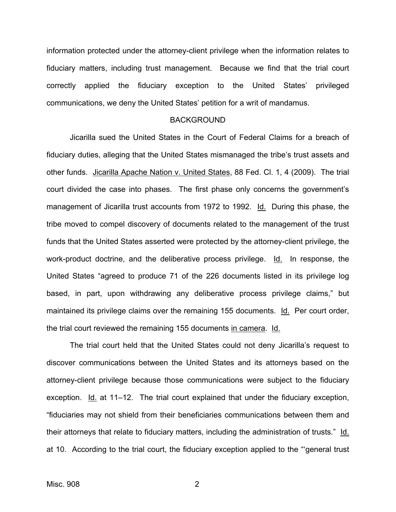information protected under the attorney-client privilege when the information relates to fiduciary matters, including trust management. Because we find that the trial court correctly applied the fiduciary exception to the United States' privileged communications, we deny the United States' petition for a writ of mandamus.

#### BACKGROUND

 Jicarilla sued the United States in the Court of Federal Claims for a breach of fiduciary duties, alleging that the United States mismanaged the tribe's trust assets and other funds. Jicarilla Apache Nation v. United States, 88 Fed. Cl. 1, 4 (2009). The trial court divided the case into phases. The first phase only concerns the government's management of Jicarilla trust accounts from 1972 to 1992. Id. During this phase, the tribe moved to compel discovery of documents related to the management of the trust funds that the United States asserted were protected by the attorney-client privilege, the work-product doctrine, and the deliberative process privilege. Id. In response, the United States "agreed to produce 71 of the 226 documents listed in its privilege log based, in part, upon withdrawing any deliberative process privilege claims," but maintained its privilege claims over the remaining 155 documents. Id. Per court order, the trial court reviewed the remaining 155 documents in camera. Id.

The trial court held that the United States could not deny Jicarilla's request to discover communications between the United States and its attorneys based on the attorney-client privilege because those communications were subject to the fiduciary exception. Id. at 11–12. The trial court explained that under the fiduciary exception, "fiduciaries may not shield from their beneficiaries communications between them and their attorneys that relate to fiduciary matters, including the administration of trusts." Id. at 10. According to the trial court, the fiduciary exception applied to the "'general trust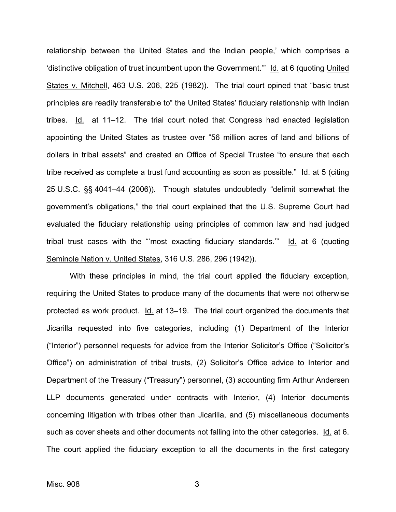relationship between the United States and the Indian people,' which comprises a 'distinctive obligation of trust incumbent upon the Government.'" Id. at 6 (quoting United States v. Mitchell, 463 U.S. 206, 225 (1982)). The trial court opined that "basic trust principles are readily transferable to" the United States' fiduciary relationship with Indian tribes. Id. at 11–12. The trial court noted that Congress had enacted legislation appointing the United States as trustee over "56 million acres of land and billions of dollars in tribal assets" and created an Office of Special Trustee "to ensure that each tribe received as complete a trust fund accounting as soon as possible." Id. at 5 (citing 25 U.S.C. §§ 4041–44 (2006)). Though statutes undoubtedly "delimit somewhat the government's obligations," the trial court explained that the U.S. Supreme Court had evaluated the fiduciary relationship using principles of common law and had judged tribal trust cases with the "most exacting fiduciary standards."  $Id$  at 6 (quoting Seminole Nation v. United States, 316 U.S. 286, 296 (1942)).

With these principles in mind, the trial court applied the fiduciary exception, requiring the United States to produce many of the documents that were not otherwise protected as work product. Id. at 13–19. The trial court organized the documents that Jicarilla requested into five categories, including (1) Department of the Interior ("Interior") personnel requests for advice from the Interior Solicitor's Office ("Solicitor's Office") on administration of tribal trusts, (2) Solicitor's Office advice to Interior and Department of the Treasury ("Treasury") personnel, (3) accounting firm Arthur Andersen LLP documents generated under contracts with Interior, (4) Interior documents concerning litigation with tribes other than Jicarilla, and (5) miscellaneous documents such as cover sheets and other documents not falling into the other categories. Id. at 6. The court applied the fiduciary exception to all the documents in the first category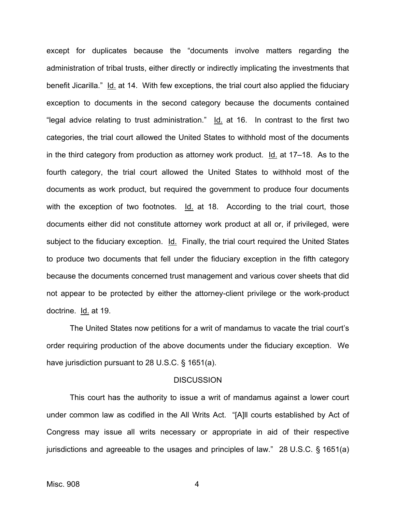except for duplicates because the "documents involve matters regarding the administration of tribal trusts, either directly or indirectly implicating the investments that benefit Jicarilla." Id. at 14. With few exceptions, the trial court also applied the fiduciary exception to documents in the second category because the documents contained "legal advice relating to trust administration." Id. at 16. In contrast to the first two categories, the trial court allowed the United States to withhold most of the documents in the third category from production as attorney work product. Id. at 17–18. As to the fourth category, the trial court allowed the United States to withhold most of the documents as work product, but required the government to produce four documents with the exception of two footnotes.  $Id.$  at 18. According to the trial court, those documents either did not constitute attorney work product at all or, if privileged, were subject to the fiduciary exception. Id. Finally, the trial court required the United States to produce two documents that fell under the fiduciary exception in the fifth category because the documents concerned trust management and various cover sheets that did not appear to be protected by either the attorney-client privilege or the work-product doctrine. Id. at 19.

The United States now petitions for a writ of mandamus to vacate the trial court's order requiring production of the above documents under the fiduciary exception. We have jurisdiction pursuant to 28 U.S.C. § 1651(a).

#### **DISCUSSION**

 This court has the authority to issue a writ of mandamus against a lower court under common law as codified in the All Writs Act. "[A]ll courts established by Act of Congress may issue all writs necessary or appropriate in aid of their respective jurisdictions and agreeable to the usages and principles of law." 28 U.S.C. § 1651(a)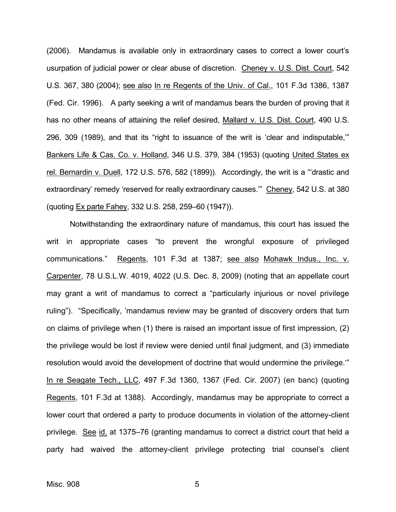(2006). Mandamus is available only in extraordinary cases to correct a lower court's usurpation of judicial power or clear abuse of discretion. Cheney v. U.S. Dist. Court, 542 U.S. 367, 380 (2004); see also In re Regents of the Univ. of Cal., 101 F.3d 1386, 1387 (Fed. Cir. 1996). A party seeking a writ of mandamus bears the burden of proving that it has no other means of attaining the relief desired, Mallard v. U.S. Dist. Court, 490 U.S. 296, 309 (1989), and that its "right to issuance of the writ is 'clear and indisputable,'" Bankers Life & Cas. Co. v. Holland, 346 U.S. 379, 384 (1953) (quoting United States ex rel. Bernardin v. Duell, 172 U.S. 576, 582 (1899)). Accordingly, the writ is a "'drastic and extraordinary' remedy 'reserved for really extraordinary causes.'" Cheney, 542 U.S. at 380 (quoting Ex parte Fahey, 332 U.S. 258, 259–60 (1947)).

Notwithstanding the extraordinary nature of mandamus, this court has issued the writ in appropriate cases "to prevent the wrongful exposure of privileged communications." Regents, 101 F.3d at 1387; see also Mohawk Indus., Inc. v. Carpenter, 78 U.S.L.W. 4019, 4022 (U.S. Dec. 8, 2009) (noting that an appellate court may grant a writ of mandamus to correct a "particularly injurious or novel privilege ruling"). "Specifically, 'mandamus review may be granted of discovery orders that turn on claims of privilege when (1) there is raised an important issue of first impression, (2) the privilege would be lost if review were denied until final judgment, and (3) immediate resolution would avoid the development of doctrine that would undermine the privilege.'" In re Seagate Tech., LLC, 497 F.3d 1360, 1367 (Fed. Cir. 2007) (en banc) (quoting Regents, 101 F.3d at 1388). Accordingly, mandamus may be appropriate to correct a lower court that ordered a party to produce documents in violation of the attorney-client privilege. See id. at 1375–76 (granting mandamus to correct a district court that held a party had waived the attorney-client privilege protecting trial counsel's client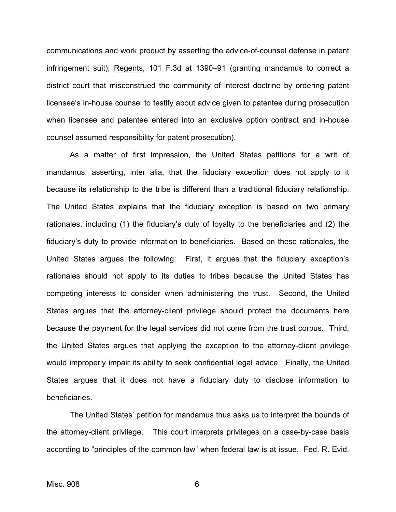communications and work product by asserting the advice-of-counsel defense in patent infringement suit); Regents, 101 F.3d at 1390–91 (granting mandamus to correct a district court that misconstrued the community of interest doctrine by ordering patent licensee's in-house counsel to testify about advice given to patentee during prosecution when licensee and patentee entered into an exclusive option contract and in-house counsel assumed responsibility for patent prosecution).

As a matter of first impression, the United States petitions for a writ of mandamus, asserting, inter alia, that the fiduciary exception does not apply to it because its relationship to the tribe is different than a traditional fiduciary relationship. The United States explains that the fiduciary exception is based on two primary rationales, including (1) the fiduciary's duty of loyalty to the beneficiaries and (2) the fiduciary's duty to provide information to beneficiaries. Based on these rationales, the United States argues the following: First, it argues that the fiduciary exception's rationales should not apply to its duties to tribes because the United States has competing interests to consider when administering the trust. Second, the United States argues that the attorney-client privilege should protect the documents here because the payment for the legal services did not come from the trust corpus. Third, the United States argues that applying the exception to the attorney-client privilege would improperly impair its ability to seek confidential legal advice. Finally, the United States argues that it does not have a fiduciary duty to disclose information to beneficiaries.

The United States' petition for mandamus thus asks us to interpret the bounds of the attorney-client privilege. This court interprets privileges on a case-by-case basis according to "principles of the common law" when federal law is at issue. Fed. R. Evid.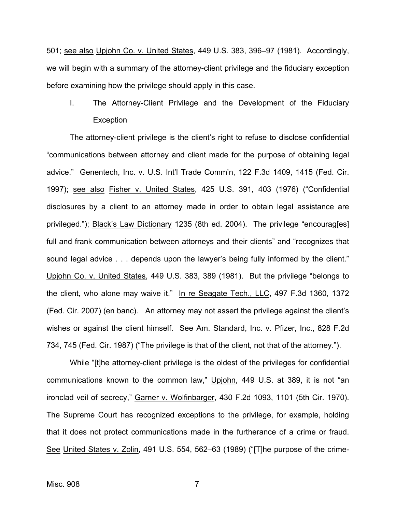501; see also Upjohn Co. v. United States, 449 U.S. 383, 396–97 (1981). Accordingly, we will begin with a summary of the attorney-client privilege and the fiduciary exception before examining how the privilege should apply in this case.

I. The Attorney-Client Privilege and the Development of the Fiduciary **Exception** 

The attorney-client privilege is the client's right to refuse to disclose confidential "communications between attorney and client made for the purpose of obtaining legal advice." Genentech, Inc. v. U.S. Int'l Trade Comm'n, 122 F.3d 1409, 1415 (Fed. Cir. 1997); see also Fisher v. United States, 425 U.S. 391, 403 (1976) ("Confidential disclosures by a client to an attorney made in order to obtain legal assistance are privileged."); Black's Law Dictionary 1235 (8th ed. 2004). The privilege "encourag[es] full and frank communication between attorneys and their clients" and "recognizes that sound legal advice . . . depends upon the lawyer's being fully informed by the client." Upjohn Co. v. United States, 449 U.S. 383, 389 (1981). But the privilege "belongs to the client, who alone may waive it." In re Seagate Tech., LLC, 497 F.3d 1360, 1372 (Fed. Cir. 2007) (en banc). An attorney may not assert the privilege against the client's wishes or against the client himself. See Am. Standard, Inc. v. Pfizer, Inc., 828 F.2d 734, 745 (Fed. Cir. 1987) ("The privilege is that of the client, not that of the attorney.").

While "[t]he attorney-client privilege is the oldest of the privileges for confidential communications known to the common law," Upjohn, 449 U.S. at 389, it is not "an ironclad veil of secrecy," Garner v. Wolfinbarger, 430 F.2d 1093, 1101 (5th Cir. 1970). The Supreme Court has recognized exceptions to the privilege, for example, holding that it does not protect communications made in the furtherance of a crime or fraud. See United States v. Zolin, 491 U.S. 554, 562–63 (1989) ("[T]he purpose of the crime-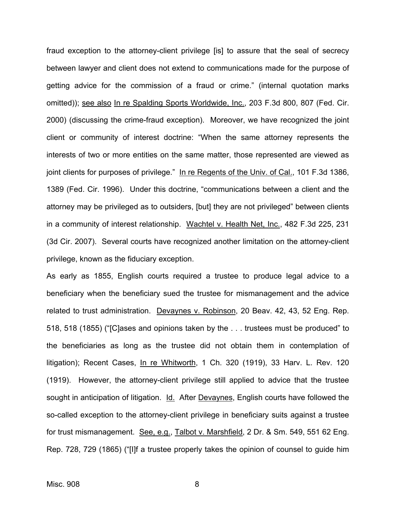fraud exception to the attorney-client privilege [is] to assure that the seal of secrecy between lawyer and client does not extend to communications made for the purpose of getting advice for the commission of a fraud or crime." (internal quotation marks omitted)); see also In re Spalding Sports Worldwide, Inc., 203 F.3d 800, 807 (Fed. Cir. 2000) (discussing the crime-fraud exception). Moreover, we have recognized the joint client or community of interest doctrine: "When the same attorney represents the interests of two or more entities on the same matter, those represented are viewed as joint clients for purposes of privilege." In re Regents of the Univ. of Cal., 101 F.3d 1386, 1389 (Fed. Cir. 1996). Under this doctrine, "communications between a client and the attorney may be privileged as to outsiders, [but] they are not privileged" between clients in a community of interest relationship. Wachtel v. Health Net, Inc., 482 F.3d 225, 231 (3d Cir. 2007). Several courts have recognized another limitation on the attorney-client privilege, known as the fiduciary exception.

As early as 1855, English courts required a trustee to produce legal advice to a beneficiary when the beneficiary sued the trustee for mismanagement and the advice related to trust administration. Devaynes v. Robinson, 20 Beav. 42, 43, 52 Eng. Rep. 518, 518 (1855) ("[C]ases and opinions taken by the . . . trustees must be produced" to the beneficiaries as long as the trustee did not obtain them in contemplation of litigation); Recent Cases, In re Whitworth, 1 Ch. 320 (1919), 33 Harv. L. Rev. 120 (1919). However, the attorney-client privilege still applied to advice that the trustee sought in anticipation of litigation. Id. After Devaynes, English courts have followed the so-called exception to the attorney-client privilege in beneficiary suits against a trustee for trust mismanagement. See, e.g., Talbot v. Marshfield, 2 Dr. & Sm. 549, 551 62 Eng. Rep. 728, 729 (1865) ("[I]f a trustee properly takes the opinion of counsel to guide him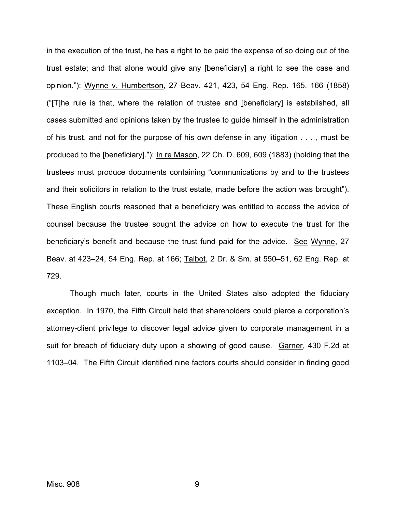in the execution of the trust, he has a right to be paid the expense of so doing out of the trust estate; and that alone would give any [beneficiary] a right to see the case and opinion."); Wynne v. Humbertson, 27 Beav. 421, 423, 54 Eng. Rep. 165, 166 (1858) ("[T]he rule is that, where the relation of trustee and [beneficiary] is established, all cases submitted and opinions taken by the trustee to guide himself in the administration of his trust, and not for the purpose of his own defense in any litigation . . . , must be produced to the [beneficiary]."); In re Mason, 22 Ch. D. 609, 609 (1883) (holding that the trustees must produce documents containing "communications by and to the trustees and their solicitors in relation to the trust estate, made before the action was brought"). These English courts reasoned that a beneficiary was entitled to access the advice of counsel because the trustee sought the advice on how to execute the trust for the beneficiary's benefit and because the trust fund paid for the advice. See Wynne, 27 Beav. at 423–24, 54 Eng. Rep. at 166; Talbot, 2 Dr. & Sm. at 550–51, 62 Eng. Rep. at 729.

Though much later, courts in the United States also adopted the fiduciary exception. In 1970, the Fifth Circuit held that shareholders could pierce a corporation's attorney-client privilege to discover legal advice given to corporate management in a suit for breach of fiduciary duty upon a showing of good cause. Garner, 430 F.2d at 1103–04. The Fifth Circuit identified nine factors courts should consider in finding good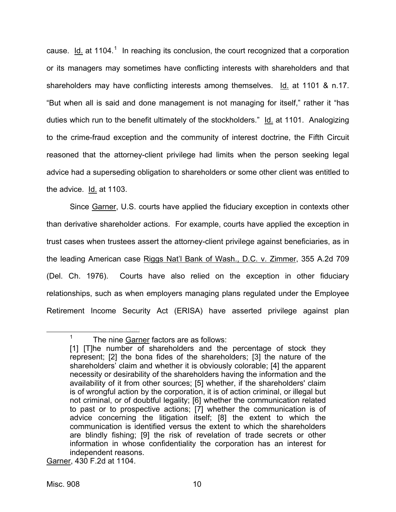cause.  $Id.$  at [1](#page-10-0)104.<sup>1</sup> In reaching its conclusion, the court recognized that a corporation or its managers may sometimes have conflicting interests with shareholders and that shareholders may have conflicting interests among themselves. Id. at 1101 & n.17. "But when all is said and done management is not managing for itself," rather it "has duties which run to the benefit ultimately of the stockholders." Id. at 1101. Analogizing to the crime-fraud exception and the community of interest doctrine, the Fifth Circuit reasoned that the attorney-client privilege had limits when the person seeking legal advice had a superseding obligation to shareholders or some other client was entitled to the advice. Id. at 1103.

Since Garner, U.S. courts have applied the fiduciary exception in contexts other than derivative shareholder actions. For example, courts have applied the exception in trust cases when trustees assert the attorney-client privilege against beneficiaries, as in the leading American case Riggs Nat'l Bank of Wash., D.C. v. Zimmer, 355 A.2d 709 (Del. Ch. 1976). Courts have also relied on the exception in other fiduciary relationships, such as when employers managing plans regulated under the Employee Retirement Income Security Act (ERISA) have asserted privilege against plan

Garner, 430 F.2d at 1104.

<span id="page-10-0"></span> $\frac{1}{1}$ 

 $1$  The nine Garner factors are as follows:

<sup>[1] [</sup>T]he number of shareholders and the percentage of stock they represent; [2] the bona fides of the shareholders; [3] the nature of the shareholders' claim and whether it is obviously colorable; [4] the apparent necessity or desirability of the shareholders having the information and the availability of it from other sources; [5] whether, if the shareholders' claim is of wrongful action by the corporation, it is of action criminal, or illegal but not criminal, or of doubtful legality; [6] whether the communication related to past or to prospective actions; [7] whether the communication is of advice concerning the litigation itself; [8] the extent to which the communication is identified versus the extent to which the shareholders are blindly fishing; [9] the risk of revelation of trade secrets or other information in whose confidentiality the corporation has an interest for independent reasons.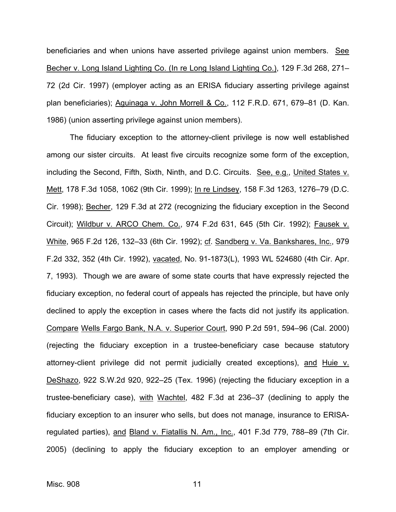beneficiaries and when unions have asserted privilege against union members. See Becher v. Long Island Lighting Co. (In re Long Island Lighting Co.), 129 F.3d 268, 271– 72 (2d Cir. 1997) (employer acting as an ERISA fiduciary asserting privilege against plan beneficiaries); Aguinaga v. John Morrell & Co., 112 F.R.D. 671, 679-81 (D. Kan. 1986) (union asserting privilege against union members).

The fiduciary exception to the attorney-client privilege is now well established among our sister circuits. At least five circuits recognize some form of the exception, including the Second, Fifth, Sixth, Ninth, and D.C. Circuits. See, e.g., United States v. Mett, 178 F.3d 1058, 1062 (9th Cir. 1999); In re Lindsey, 158 F.3d 1263, 1276–79 (D.C. Cir. 1998); Becher, 129 F.3d at 272 (recognizing the fiduciary exception in the Second Circuit); Wildbur v. ARCO Chem. Co., 974 F.2d 631, 645 (5th Cir. 1992); Fausek v. White, 965 F.2d 126, 132–33 (6th Cir. 1992); cf. Sandberg v. Va. Bankshares, Inc., 979 F.2d 332, 352 (4th Cir. 1992), vacated, No. 91-1873(L), 1993 WL 524680 (4th Cir. Apr. 7, 1993). Though we are aware of some state courts that have expressly rejected the fiduciary exception, no federal court of appeals has rejected the principle, but have only declined to apply the exception in cases where the facts did not justify its application. Compare Wells Fargo Bank, N.A. v. Superior Court, 990 P.2d 591, 594–96 (Cal. 2000) (rejecting the fiduciary exception in a trustee-beneficiary case because statutory attorney-client privilege did not permit judicially created exceptions), and Huie v. DeShazo, 922 S.W.2d 920, 922–25 (Tex. 1996) (rejecting the fiduciary exception in a trustee-beneficiary case), with Wachtel, 482 F.3d at 236–37 (declining to apply the fiduciary exception to an insurer who sells, but does not manage, insurance to ERISAregulated parties), and Bland v. Fiatallis N. Am., Inc., 401 F.3d 779, 788–89 (7th Cir. 2005) (declining to apply the fiduciary exception to an employer amending or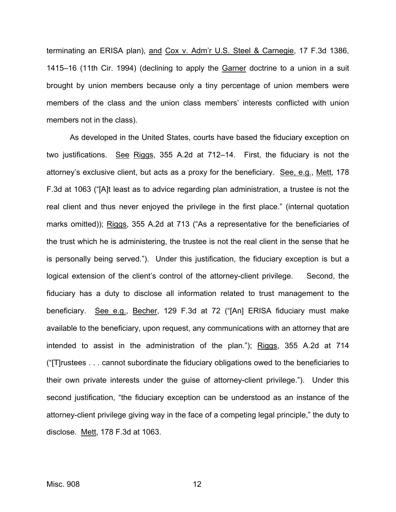terminating an ERISA plan), and Cox v. Adm'r U.S. Steel & Carnegie, 17 F.3d 1386, 1415–16 (11th Cir. 1994) (declining to apply the Garner doctrine to a union in a suit brought by union members because only a tiny percentage of union members were members of the class and the union class members' interests conflicted with union members not in the class).

As developed in the United States, courts have based the fiduciary exception on two justifications. See Riggs, 355 A.2d at 712–14. First, the fiduciary is not the attorney's exclusive client, but acts as a proxy for the beneficiary. See, e.g., Mett, 178 F.3d at 1063 ("[A]t least as to advice regarding plan administration, a trustee is not the real client and thus never enjoyed the privilege in the first place." (internal quotation marks omitted)); Riggs, 355 A.2d at 713 ("As a representative for the beneficiaries of the trust which he is administering, the trustee is not the real client in the sense that he is personally being served."). Under this justification, the fiduciary exception is but a logical extension of the client's control of the attorney-client privilege. Second, the fiduciary has a duty to disclose all information related to trust management to the beneficiary. See e.g., Becher, 129 F.3d at 72 ("[An] ERISA fiduciary must make available to the beneficiary, upon request, any communications with an attorney that are intended to assist in the administration of the plan."); Riggs, 355 A.2d at 714 ("[T]rustees . . . cannot subordinate the fiduciary obligations owed to the beneficiaries to their own private interests under the guise of attorney-client privilege."). Under this second justification, "the fiduciary exception can be understood as an instance of the attorney-client privilege giving way in the face of a competing legal principle," the duty to disclose. Mett, 178 F.3d at 1063.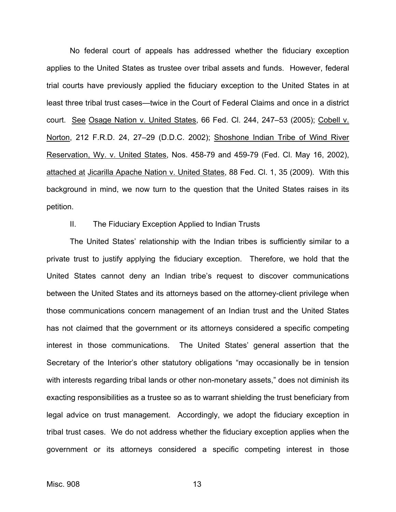No federal court of appeals has addressed whether the fiduciary exception applies to the United States as trustee over tribal assets and funds. However, federal trial courts have previously applied the fiduciary exception to the United States in at least three tribal trust cases—twice in the Court of Federal Claims and once in a district court. See Osage Nation v. United States, 66 Fed. Cl. 244, 247-53 (2005); Cobell v. Norton, 212 F.R.D. 24, 27–29 (D.D.C. 2002); Shoshone Indian Tribe of Wind River Reservation, Wy. v. United States, Nos. 458-79 and 459-79 (Fed. Cl. May 16, 2002), attached at Jicarilla Apache Nation v. United States, 88 Fed. Cl. 1, 35 (2009). With this background in mind, we now turn to the question that the United States raises in its petition.

#### II. The Fiduciary Exception Applied to Indian Trusts

The United States' relationship with the Indian tribes is sufficiently similar to a private trust to justify applying the fiduciary exception. Therefore, we hold that the United States cannot deny an Indian tribe's request to discover communications between the United States and its attorneys based on the attorney-client privilege when those communications concern management of an Indian trust and the United States has not claimed that the government or its attorneys considered a specific competing interest in those communications. The United States' general assertion that the Secretary of the Interior's other statutory obligations "may occasionally be in tension with interests regarding tribal lands or other non-monetary assets," does not diminish its exacting responsibilities as a trustee so as to warrant shielding the trust beneficiary from legal advice on trust management. Accordingly, we adopt the fiduciary exception in tribal trust cases. We do not address whether the fiduciary exception applies when the government or its attorneys considered a specific competing interest in those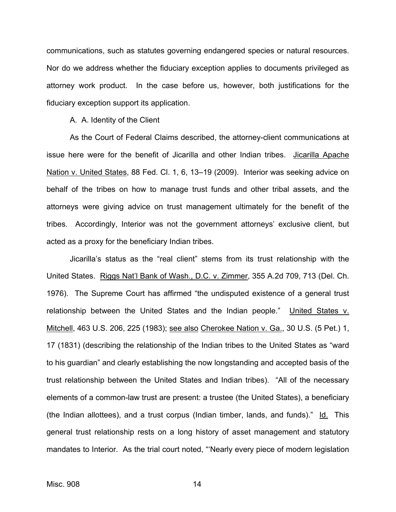communications, such as statutes governing endangered species or natural resources. Nor do we address whether the fiduciary exception applies to documents privileged as attorney work product. In the case before us, however, both justifications for the fiduciary exception support its application.

A. A. Identity of the Client

As the Court of Federal Claims described, the attorney-client communications at issue here were for the benefit of Jicarilla and other Indian tribes. Jicarilla Apache Nation v. United States, 88 Fed. Cl. 1, 6, 13–19 (2009). Interior was seeking advice on behalf of the tribes on how to manage trust funds and other tribal assets, and the attorneys were giving advice on trust management ultimately for the benefit of the tribes. Accordingly, Interior was not the government attorneys' exclusive client, but acted as a proxy for the beneficiary Indian tribes.

Jicarilla's status as the "real client" stems from its trust relationship with the United States. Riggs Nat'l Bank of Wash., D.C. v. Zimmer, 355 A.2d 709, 713 (Del. Ch. 1976). The Supreme Court has affirmed "the undisputed existence of a general trust relationship between the United States and the Indian people." United States v. Mitchell, 463 U.S. 206, 225 (1983); see also Cherokee Nation v. Ga., 30 U.S. (5 Pet.) 1, 17 (1831) (describing the relationship of the Indian tribes to the United States as "ward to his guardian" and clearly establishing the now longstanding and accepted basis of the trust relationship between the United States and Indian tribes). "All of the necessary elements of a common-law trust are present: a trustee (the United States), a beneficiary (the Indian allottees), and a trust corpus (Indian timber, lands, and funds)." Id. This general trust relationship rests on a long history of asset management and statutory mandates to Interior. As the trial court noted, "'Nearly every piece of modern legislation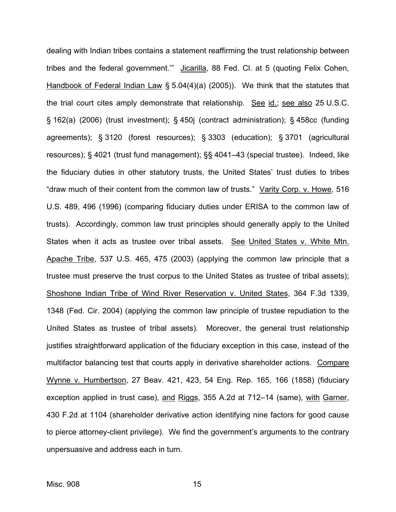dealing with Indian tribes contains a statement reaffirming the trust relationship between tribes and the federal government.'" Jicarilla, 88 Fed. Cl. at 5 (quoting Felix Cohen, Handbook of Federal Indian Law § 5.04(4)(a) (2005)). We think that the statutes that the trial court cites amply demonstrate that relationship. See id.; see also 25 U.S.C. § 162(a) (2006) (trust investment); § 450j (contract administration); § 458cc (funding agreements); § 3120 (forest resources); § 3303 (education); § 3701 (agricultural resources); § 4021 (trust fund management); §§ 4041–43 (special trustee). Indeed, like the fiduciary duties in other statutory trusts, the United States' trust duties to tribes "draw much of their content from the common law of trusts." Varity Corp. v. Howe, 516 U.S. 489, 496 (1996) (comparing fiduciary duties under ERISA to the common law of trusts). Accordingly, common law trust principles should generally apply to the United States when it acts as trustee over tribal assets. See United States v. White Mtn. Apache Tribe, 537 U.S. 465, 475 (2003) (applying the common law principle that a trustee must preserve the trust corpus to the United States as trustee of tribal assets); Shoshone Indian Tribe of Wind River Reservation v. United States, 364 F.3d 1339, 1348 (Fed. Cir. 2004) (applying the common law principle of trustee repudiation to the United States as trustee of tribal assets). Moreover, the general trust relationship justifies straightforward application of the fiduciary exception in this case, instead of the multifactor balancing test that courts apply in derivative shareholder actions. Compare Wynne v. Humbertson, 27 Beav. 421, 423, 54 Eng. Rep. 165, 166 (1858) (fiduciary exception applied in trust case), and Riggs, 355 A.2d at 712–14 (same), with Garner, 430 F.2d at 1104 (shareholder derivative action identifying nine factors for good cause to pierce attorney-client privilege). We find the government's arguments to the contrary unpersuasive and address each in turn.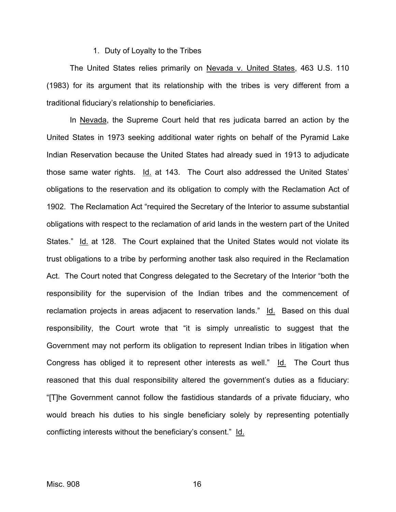#### 1. Duty of Loyalty to the Tribes

The United States relies primarily on Nevada v. United States, 463 U.S. 110 (1983) for its argument that its relationship with the tribes is very different from a traditional fiduciary's relationship to beneficiaries.

 In Nevada, the Supreme Court held that res judicata barred an action by the United States in 1973 seeking additional water rights on behalf of the Pyramid Lake Indian Reservation because the United States had already sued in 1913 to adjudicate those same water rights. Id. at 143. The Court also addressed the United States' obligations to the reservation and its obligation to comply with the Reclamation Act of 1902. The Reclamation Act "required the Secretary of the Interior to assume substantial obligations with respect to the reclamation of arid lands in the western part of the United States." Id. at 128. The Court explained that the United States would not violate its trust obligations to a tribe by performing another task also required in the Reclamation Act. The Court noted that Congress delegated to the Secretary of the Interior "both the responsibility for the supervision of the Indian tribes and the commencement of reclamation projects in areas adjacent to reservation lands." Id. Based on this dual responsibility, the Court wrote that "it is simply unrealistic to suggest that the Government may not perform its obligation to represent Indian tribes in litigation when Congress has obliged it to represent other interests as well." Id. The Court thus reasoned that this dual responsibility altered the government's duties as a fiduciary: "[T]he Government cannot follow the fastidious standards of a private fiduciary, who would breach his duties to his single beneficiary solely by representing potentially conflicting interests without the beneficiary's consent." Id.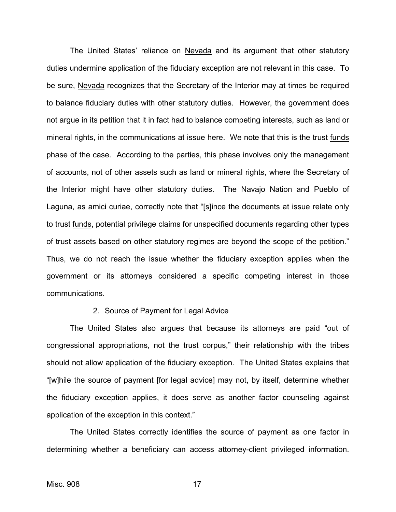The United States' reliance on Nevada and its argument that other statutory duties undermine application of the fiduciary exception are not relevant in this case. To be sure, Nevada recognizes that the Secretary of the Interior may at times be required to balance fiduciary duties with other statutory duties. However, the government does not argue in its petition that it in fact had to balance competing interests, such as land or mineral rights, in the communications at issue here. We note that this is the trust funds phase of the case. According to the parties, this phase involves only the management of accounts, not of other assets such as land or mineral rights, where the Secretary of the Interior might have other statutory duties. The Navajo Nation and Pueblo of Laguna, as amici curiae, correctly note that "[s]ince the documents at issue relate only to trust funds, potential privilege claims for unspecified documents regarding other types of trust assets based on other statutory regimes are beyond the scope of the petition." Thus, we do not reach the issue whether the fiduciary exception applies when the government or its attorneys considered a specific competing interest in those communications.

#### 2. Source of Payment for Legal Advice

 The United States also argues that because its attorneys are paid "out of congressional appropriations, not the trust corpus," their relationship with the tribes should not allow application of the fiduciary exception. The United States explains that "[w]hile the source of payment [for legal advice] may not, by itself, determine whether the fiduciary exception applies, it does serve as another factor counseling against application of the exception in this context."

The United States correctly identifies the source of payment as one factor in determining whether a beneficiary can access attorney-client privileged information.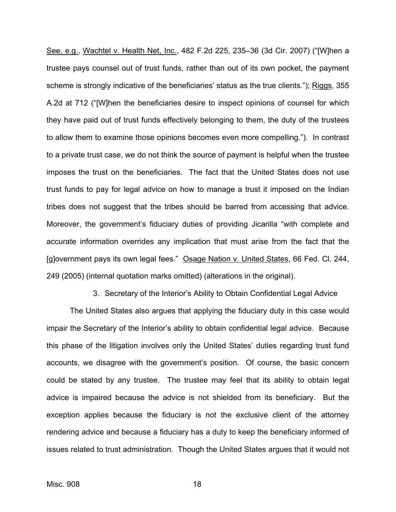See, e.g., Wachtel v. Health Net, Inc., 482 F.2d 225, 235–36 (3d Cir. 2007) ("[W]hen a trustee pays counsel out of trust funds, rather than out of its own pocket, the payment scheme is strongly indicative of the beneficiaries' status as the true clients."); Riggs, 355 A.2d at 712 ("[W]hen the beneficiaries desire to inspect opinions of counsel for which they have paid out of trust funds effectively belonging to them, the duty of the trustees to allow them to examine those opinions becomes even more compelling."). In contrast to a private trust case, we do not think the source of payment is helpful when the trustee imposes the trust on the beneficiaries. The fact that the United States does not use trust funds to pay for legal advice on how to manage a trust it imposed on the Indian tribes does not suggest that the tribes should be barred from accessing that advice. Moreover, the government's fiduciary duties of providing Jicarilla "with complete and accurate information overrides any implication that must arise from the fact that the [g]overnment pays its own legal fees." Osage Nation v. United States, 66 Fed. Cl. 244, 249 (2005) (internal quotation marks omitted) (alterations in the original).

3. Secretary of the Interior's Ability to Obtain Confidential Legal Advice

 The United States also argues that applying the fiduciary duty in this case would impair the Secretary of the Interior's ability to obtain confidential legal advice. Because this phase of the litigation involves only the United States' duties regarding trust fund accounts, we disagree with the government's position. Of course, the basic concern could be stated by any trustee. The trustee may feel that its ability to obtain legal advice is impaired because the advice is not shielded from its beneficiary. But the exception applies because the fiduciary is not the exclusive client of the attorney rendering advice and because a fiduciary has a duty to keep the beneficiary informed of issues related to trust administration. Though the United States argues that it would not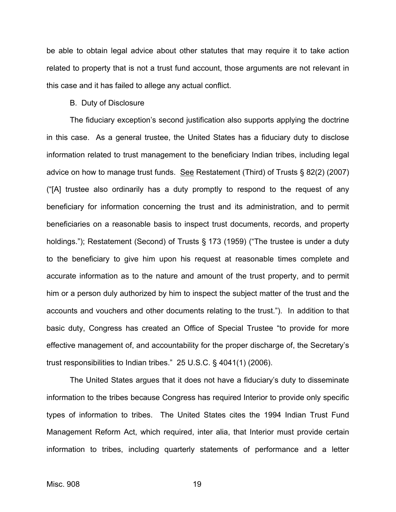be able to obtain legal advice about other statutes that may require it to take action related to property that is not a trust fund account, those arguments are not relevant in this case and it has failed to allege any actual conflict.

#### B. Duty of Disclosure

 The fiduciary exception's second justification also supports applying the doctrine in this case. As a general trustee, the United States has a fiduciary duty to disclose information related to trust management to the beneficiary Indian tribes, including legal advice on how to manage trust funds. See Restatement (Third) of Trusts § 82(2) (2007) ("[A] trustee also ordinarily has a duty promptly to respond to the request of any beneficiary for information concerning the trust and its administration, and to permit beneficiaries on a reasonable basis to inspect trust documents, records, and property holdings."); Restatement (Second) of Trusts § 173 (1959) ("The trustee is under a duty to the beneficiary to give him upon his request at reasonable times complete and accurate information as to the nature and amount of the trust property, and to permit him or a person duly authorized by him to inspect the subject matter of the trust and the accounts and vouchers and other documents relating to the trust."). In addition to that basic duty, Congress has created an Office of Special Trustee "to provide for more effective management of, and accountability for the proper discharge of, the Secretary's trust responsibilities to Indian tribes." 25 U.S.C. § 4041(1) (2006).

The United States argues that it does not have a fiduciary's duty to disseminate information to the tribes because Congress has required Interior to provide only specific types of information to tribes. The United States cites the 1994 Indian Trust Fund Management Reform Act, which required, inter alia, that Interior must provide certain information to tribes, including quarterly statements of performance and a letter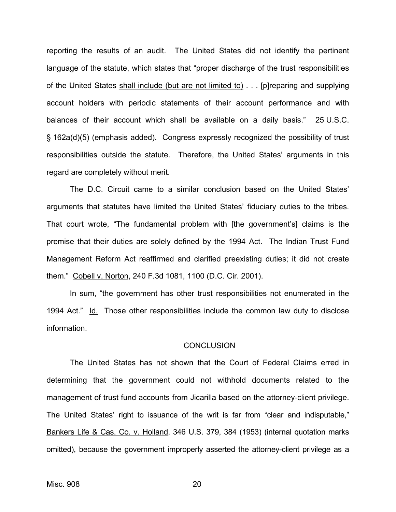reporting the results of an audit. The United States did not identify the pertinent language of the statute, which states that "proper discharge of the trust responsibilities of the United States shall include (but are not limited to) . . . [p]reparing and supplying account holders with periodic statements of their account performance and with balances of their account which shall be available on a daily basis." 25 U.S.C. § 162a(d)(5) (emphasis added). Congress expressly recognized the possibility of trust responsibilities outside the statute. Therefore, the United States' arguments in this regard are completely without merit.

 The D.C. Circuit came to a similar conclusion based on the United States' arguments that statutes have limited the United States' fiduciary duties to the tribes. That court wrote, "The fundamental problem with [the government's] claims is the premise that their duties are solely defined by the 1994 Act. The Indian Trust Fund Management Reform Act reaffirmed and clarified preexisting duties; it did not create them." Cobell v. Norton, 240 F.3d 1081, 1100 (D.C. Cir. 2001).

 In sum, "the government has other trust responsibilities not enumerated in the 1994 Act." Id. Those other responsibilities include the common law duty to disclose information.

#### **CONCLUSION**

The United States has not shown that the Court of Federal Claims erred in determining that the government could not withhold documents related to the management of trust fund accounts from Jicarilla based on the attorney-client privilege. The United States' right to issuance of the writ is far from "clear and indisputable," Bankers Life & Cas. Co. v. Holland, 346 U.S. 379, 384 (1953) (internal quotation marks omitted), because the government improperly asserted the attorney-client privilege as a